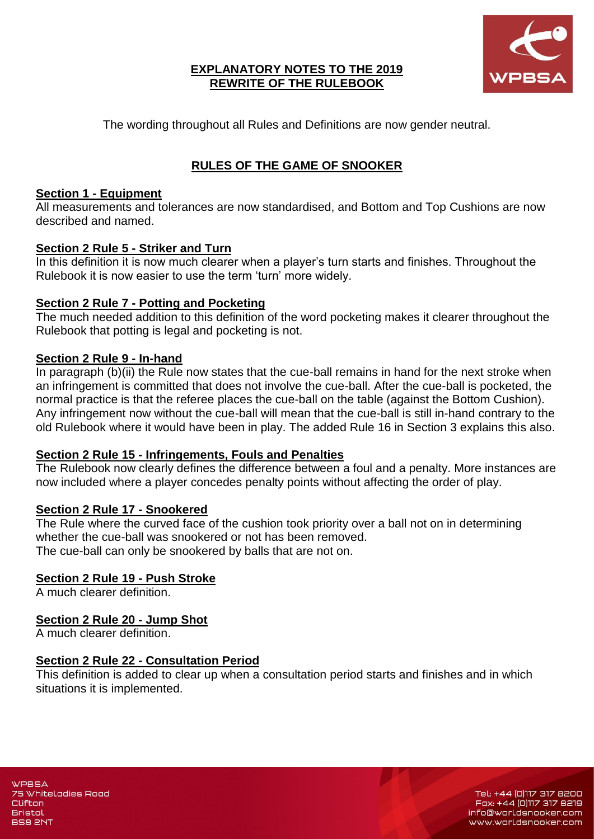

#### **EXPLANATORY NOTES TO THE 2019 REWRITE OF THE RULEBOOK**

The wording throughout all Rules and Definitions are now gender neutral.

# **RULES OF THE GAME OF SNOOKER**

### **Section 1 - Equipment**

All measurements and tolerances are now standardised, and Bottom and Top Cushions are now described and named.

### **Section 2 Rule 5 - Striker and Turn**

In this definition it is now much clearer when a player's turn starts and finishes. Throughout the Rulebook it is now easier to use the term 'turn' more widely.

### **Section 2 Rule 7 - Potting and Pocketing**

The much needed addition to this definition of the word pocketing makes it clearer throughout the Rulebook that potting is legal and pocketing is not.

### **Section 2 Rule 9 - In-hand**

In paragraph (b)(ii) the Rule now states that the cue-ball remains in hand for the next stroke when an infringement is committed that does not involve the cue-ball. After the cue-ball is pocketed, the normal practice is that the referee places the cue-ball on the table (against the Bottom Cushion). Any infringement now without the cue-ball will mean that the cue-ball is still in-hand contrary to the old Rulebook where it would have been in play. The added Rule 16 in Section 3 explains this also.

#### **Section 2 Rule 15 - Infringements, Fouls and Penalties**

The Rulebook now clearly defines the difference between a foul and a penalty. More instances are now included where a player concedes penalty points without affecting the order of play.

#### **Section 2 Rule 17 - Snookered**

The Rule where the curved face of the cushion took priority over a ball not on in determining whether the cue-ball was snookered or not has been removed. The cue-ball can only be snookered by balls that are not on.

### **Section 2 Rule 19 - Push Stroke**

A much clearer definition.

### **Section 2 Rule 20 - Jump Shot**

A much clearer definition.

#### **Section 2 Rule 22 - Consultation Period**

This definition is added to clear up when a consultation period starts and finishes and in which situations it is implemented.

Tel: +44 (0)117 317 8200 Fax: +44 (0)117 317 8219 info@worldsnooker.com www.worldsnooker.com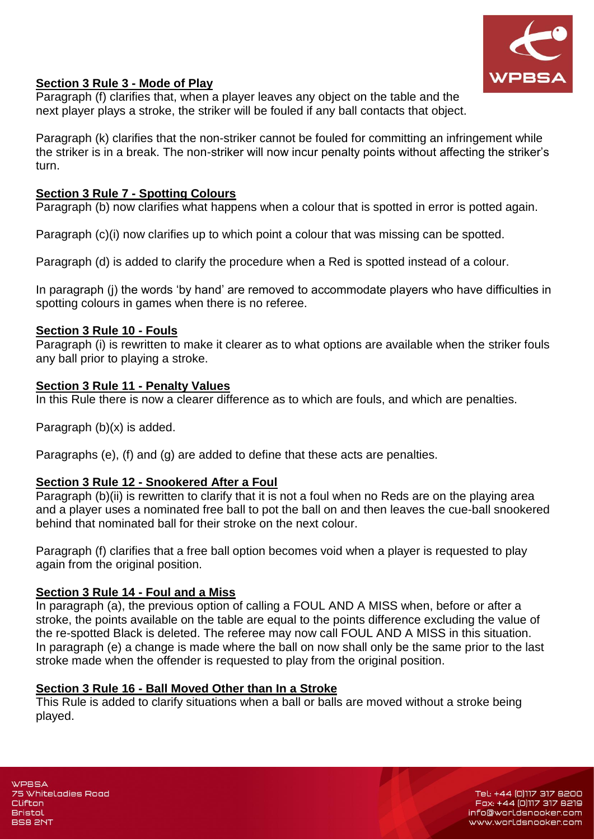

### **Section 3 Rule 3 - Mode of Play**

Paragraph (f) clarifies that, when a player leaves any object on the table and the next player plays a stroke, the striker will be fouled if any ball contacts that object.

Paragraph (k) clarifies that the non-striker cannot be fouled for committing an infringement while the striker is in a break. The non-striker will now incur penalty points without affecting the striker's turn.

### **Section 3 Rule 7 - Spotting Colours**

Paragraph (b) now clarifies what happens when a colour that is spotted in error is potted again.

Paragraph (c)(i) now clarifies up to which point a colour that was missing can be spotted.

Paragraph (d) is added to clarify the procedure when a Red is spotted instead of a colour.

In paragraph (j) the words 'by hand' are removed to accommodate players who have difficulties in spotting colours in games when there is no referee.

#### **Section 3 Rule 10 - Fouls**

Paragraph (i) is rewritten to make it clearer as to what options are available when the striker fouls any ball prior to playing a stroke.

#### **Section 3 Rule 11 - Penalty Values**

In this Rule there is now a clearer difference as to which are fouls, and which are penalties.

Paragraph (b)(x) is added.

Paragraphs (e), (f) and (g) are added to define that these acts are penalties.

#### **Section 3 Rule 12 - Snookered After a Foul**

Paragraph (b)(ii) is rewritten to clarify that it is not a foul when no Reds are on the playing area and a player uses a nominated free ball to pot the ball on and then leaves the cue-ball snookered behind that nominated ball for their stroke on the next colour.

Paragraph (f) clarifies that a free ball option becomes void when a player is requested to play again from the original position.

#### **Section 3 Rule 14 - Foul and a Miss**

In paragraph (a), the previous option of calling a FOUL AND A MISS when, before or after a stroke, the points available on the table are equal to the points difference excluding the value of the re-spotted Black is deleted. The referee may now call FOUL AND A MISS in this situation. In paragraph (e) a change is made where the ball on now shall only be the same prior to the last stroke made when the offender is requested to play from the original position.

#### **Section 3 Rule 16 - Ball Moved Other than In a Stroke**

This Rule is added to clarify situations when a ball or balls are moved without a stroke being played.

**WPBSA** 75 Whiteladies Road Clifton **Bristol BS8 2NT** 

Tel: +44 (0)117 317 8200 Fax: +44 (0)117 317 8219 info@worldsnooker.com www.worldsnooker.com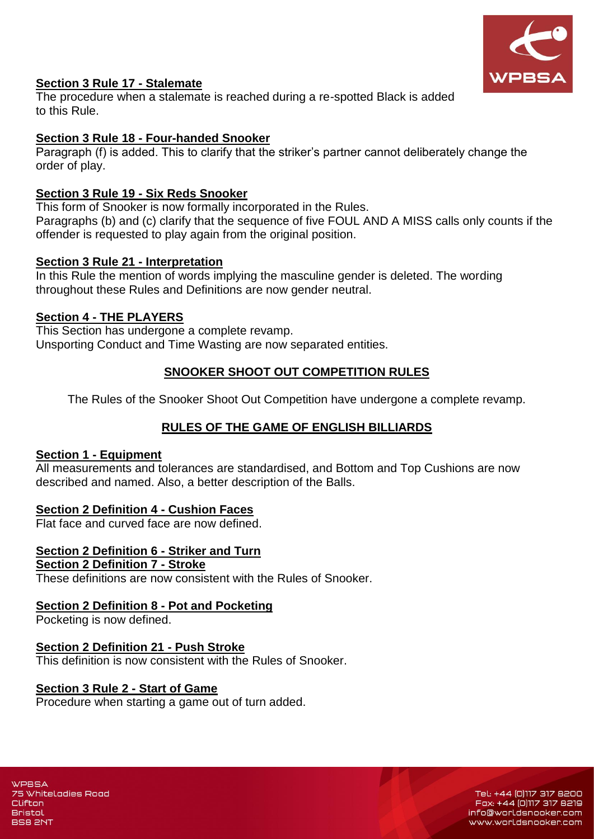

### **Section 3 Rule 17 - Stalemate**

The procedure when a stalemate is reached during a re-spotted Black is added to this Rule.

### **Section 3 Rule 18 - Four-handed Snooker**

Paragraph (f) is added. This to clarify that the striker's partner cannot deliberately change the order of play.

### **Section 3 Rule 19 - Six Reds Snooker**

This form of Snooker is now formally incorporated in the Rules. Paragraphs (b) and (c) clarify that the sequence of five FOUL AND A MISS calls only counts if the offender is requested to play again from the original position.

### **Section 3 Rule 21 - Interpretation**

In this Rule the mention of words implying the masculine gender is deleted. The wording throughout these Rules and Definitions are now gender neutral.

### **Section 4 - THE PLAYERS**

This Section has undergone a complete revamp. Unsporting Conduct and Time Wasting are now separated entities.

## **SNOOKER SHOOT OUT COMPETITION RULES**

The Rules of the Snooker Shoot Out Competition have undergone a complete revamp.

# **RULES OF THE GAME OF ENGLISH BILLIARDS**

#### **Section 1 - Equipment**

All measurements and tolerances are standardised, and Bottom and Top Cushions are now described and named. Also, a better description of the Balls.

### **Section 2 Definition 4 - Cushion Faces**

Flat face and curved face are now defined.

# **Section 2 Definition 6 - Striker and Turn**

## **Section 2 Definition 7 - Stroke**

These definitions are now consistent with the Rules of Snooker.

#### **Section 2 Definition 8 - Pot and Pocketing**

Pocketing is now defined.

#### **Section 2 Definition 21 - Push Stroke**

This definition is now consistent with the Rules of Snooker.

#### **Section 3 Rule 2 - Start of Game**

Procedure when starting a game out of turn added.

**WPBSA** 75 Whiteladies Road Clifton **Bristol BS8 2NT** 

Tel: +44 (0)117 317 8200 Fax: +44 (0)117 317 8219 info@worldsnooker.com www.worldsnooker.com